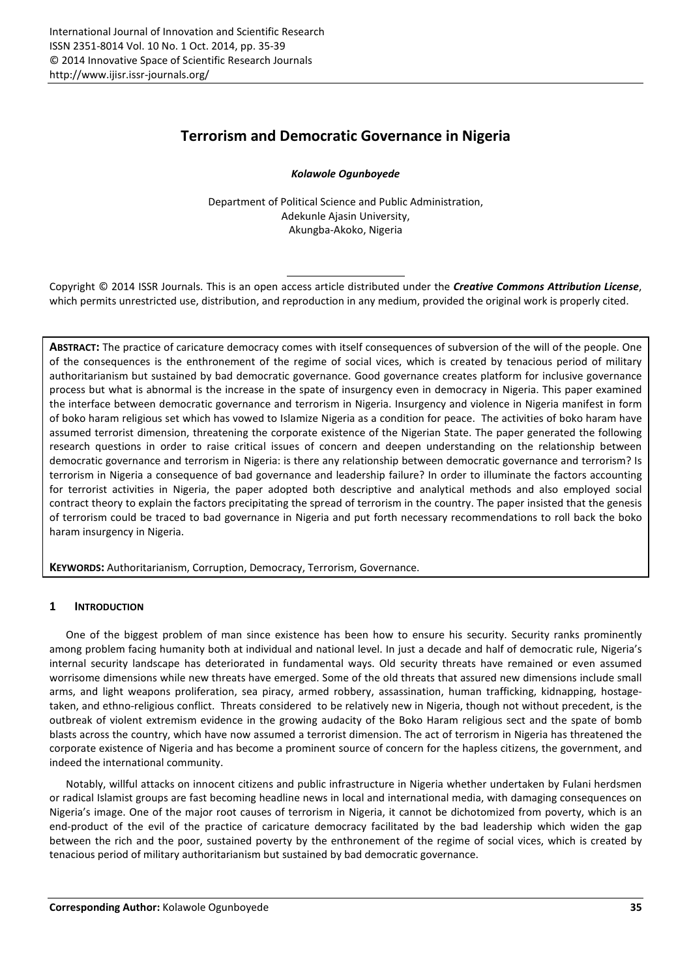# **Terrorism and Democratic Governance in Nigeria**

*Kolawole Ogunboyede* 

Department of Political Science and Public Administration, Adekunle Ajasin University, Akungba-Akoko, Nigeria

Copyright © 2014 ISSR Journals. This is an open access article distributed under the *Creative Commons Attribution License*, which permits unrestricted use, distribution, and reproduction in any medium, provided the original work is properly cited.

**ABSTRACT:** The practice of caricature democracy comes with itself consequences of subversion of the will of the people. One of the consequences is the enthronement of the regime of social vices, which is created by tenacious period of military authoritarianism but sustained by bad democratic governance. Good governance creates platform for inclusive governance process but what is abnormal is the increase in the spate of insurgency even in democracy in Nigeria. This paper examined the interface between democratic governance and terrorism in Nigeria. Insurgency and violence in Nigeria manifest in form of boko haram religious set which has vowed to Islamize Nigeria as a condition for peace. The activities of boko haram have assumed terrorist dimension, threatening the corporate existence of the Nigerian State. The paper generated the following research questions in order to raise critical issues of concern and deepen understanding on the relationship between democratic governance and terrorism in Nigeria: is there any relationship between democratic governance and terrorism? Is terrorism in Nigeria a consequence of bad governance and leadership failure? In order to illuminate the factors accounting for terrorist activities in Nigeria, the paper adopted both descriptive and analytical methods and also employed social contract theory to explain the factors precipitating the spread of terrorism in the country. The paper insisted that the genesis of terrorism could be traced to bad governance in Nigeria and put forth necessary recommendations to roll back the boko haram insurgency in Nigeria.

**KEYWORDS:** Authoritarianism, Corruption, Democracy, Terrorism, Governance.

## **1 INTRODUCTION**

One of the biggest problem of man since existence has been how to ensure his security. Security ranks prominently among problem facing humanity both at individual and national level. In just a decade and half of democratic rule, Nigeria's internal security landscape has deteriorated in fundamental ways. Old security threats have remained or even assumed worrisome dimensions while new threats have emerged. Some of the old threats that assured new dimensions include small arms, and light weapons proliferation, sea piracy, armed robbery, assassination, human trafficking, kidnapping, hostagetaken, and ethno-religious conflict. Threats considered to be relatively new in Nigeria, though not without precedent, is the outbreak of violent extremism evidence in the growing audacity of the Boko Haram religious sect and the spate of bomb blasts across the country, which have now assumed a terrorist dimension. The act of terrorism in Nigeria has threatened the corporate existence of Nigeria and has become a prominent source of concern for the hapless citizens, the government, and indeed the international community.

Notably, willful attacks on innocent citizens and public infrastructure in Nigeria whether undertaken by Fulani herdsmen or radical Islamist groups are fast becoming headline news in local and international media, with damaging consequences on Nigeria's image. One of the major root causes of terrorism in Nigeria, it cannot be dichotomized from poverty, which is an end-product of the evil of the practice of caricature democracy facilitated by the bad leadership which widen the gap between the rich and the poor, sustained poverty by the enthronement of the regime of social vices, which is created by tenacious period of military authoritarianism but sustained by bad democratic governance.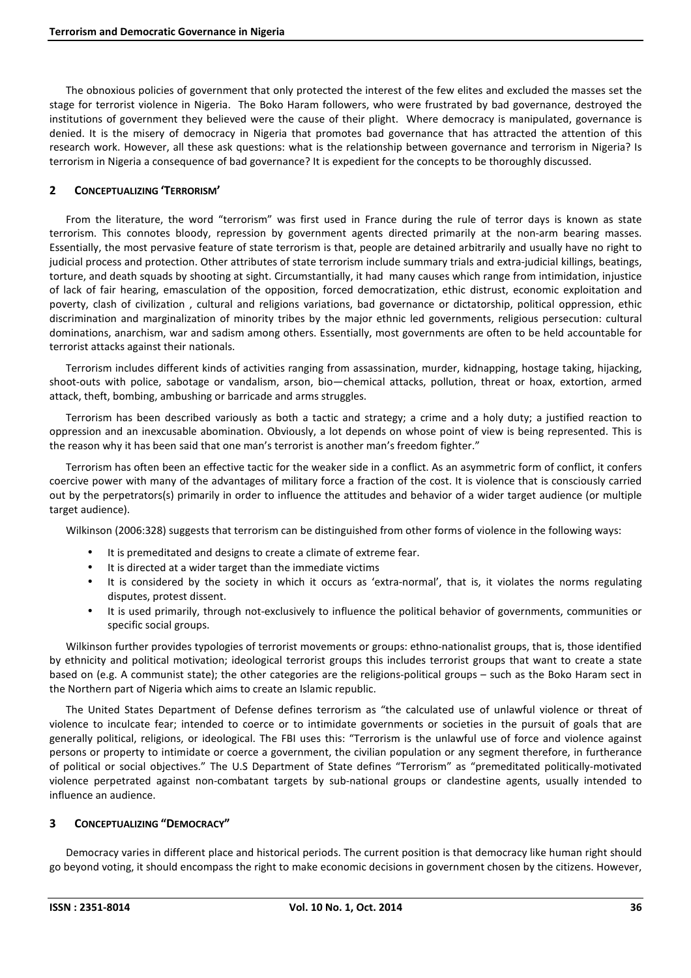The obnoxious policies of government that only protected the interest of the few elites and excluded the masses set the stage for terrorist violence in Nigeria. The Boko Haram followers, who were frustrated by bad governance, destroyed the institutions of government they believed were the cause of their plight. Where democracy is manipulated, governance is denied. It is the misery of democracy in Nigeria that promotes bad governance that has attracted the attention of this research work. However, all these ask questions: what is the relationship between governance and terrorism in Nigeria? Is terrorism in Nigeria a consequence of bad governance? It is expedient for the concepts to be thoroughly discussed.

# **2 CONCEPTUALIZING 'TERRORISM'**

From the literature, the word "terrorism" was first used in France during the rule of terror days is known as state terrorism. This connotes bloody, repression by government agents directed primarily at the non-arm bearing masses. Essentially, the most pervasive feature of state terrorism is that, people are detained arbitrarily and usually have no right to judicial process and protection. Other attributes of state terrorism include summary trials and extra-judicial killings, beatings, torture, and death squads by shooting at sight. Circumstantially, it had many causes which range from intimidation, injustice of lack of fair hearing, emasculation of the opposition, forced democratization, ethic distrust, economic exploitation and poverty, clash of civilization , cultural and religions variations, bad governance or dictatorship, political oppression, ethic discrimination and marginalization of minority tribes by the major ethnic led governments, religious persecution: cultural dominations, anarchism, war and sadism among others. Essentially, most governments are often to be held accountable for terrorist attacks against their nationals.

Terrorism includes different kinds of activities ranging from assassination, murder, kidnapping, hostage taking, hijacking, shoot-outs with police, sabotage or vandalism, arson, bio—chemical attacks, pollution, threat or hoax, extortion, armed attack, theft, bombing, ambushing or barricade and arms struggles.

Terrorism has been described variously as both a tactic and strategy; a crime and a holy duty; a justified reaction to oppression and an inexcusable abomination. Obviously, a lot depends on whose point of view is being represented. This is the reason why it has been said that one man's terrorist is another man's freedom fighter."

Terrorism has often been an effective tactic for the weaker side in a conflict. As an asymmetric form of conflict, it confers coercive power with many of the advantages of military force a fraction of the cost. It is violence that is consciously carried out by the perpetrators(s) primarily in order to influence the attitudes and behavior of a wider target audience (or multiple target audience).

Wilkinson (2006:328) suggests that terrorism can be distinguished from other forms of violence in the following ways:

- It is premeditated and designs to create a climate of extreme fear.
- It is directed at a wider target than the immediate victims
- It is considered by the society in which it occurs as 'extra-normal', that is, it violates the norms regulating disputes, protest dissent.
- It is used primarily, through not-exclusively to influence the political behavior of governments, communities or specific social groups.

Wilkinson further provides typologies of terrorist movements or groups: ethno-nationalist groups, that is, those identified by ethnicity and political motivation; ideological terrorist groups this includes terrorist groups that want to create a state based on (e.g. A communist state); the other categories are the religions-political groups – such as the Boko Haram sect in the Northern part of Nigeria which aims to create an Islamic republic.

The United States Department of Defense defines terrorism as "the calculated use of unlawful violence or threat of violence to inculcate fear; intended to coerce or to intimidate governments or societies in the pursuit of goals that are generally political, religions, or ideological. The FBI uses this: "Terrorism is the unlawful use of force and violence against persons or property to intimidate or coerce a government, the civilian population or any segment therefore, in furtherance of political or social objectives." The U.S Department of State defines "Terrorism" as "premeditated politically-motivated violence perpetrated against non-combatant targets by sub-national groups or clandestine agents, usually intended to influence an audience.

# **3 CONCEPTUALIZING "DEMOCRACY"**

Democracy varies in different place and historical periods. The current position is that democracy like human right should go beyond voting, it should encompass the right to make economic decisions in government chosen by the citizens. However,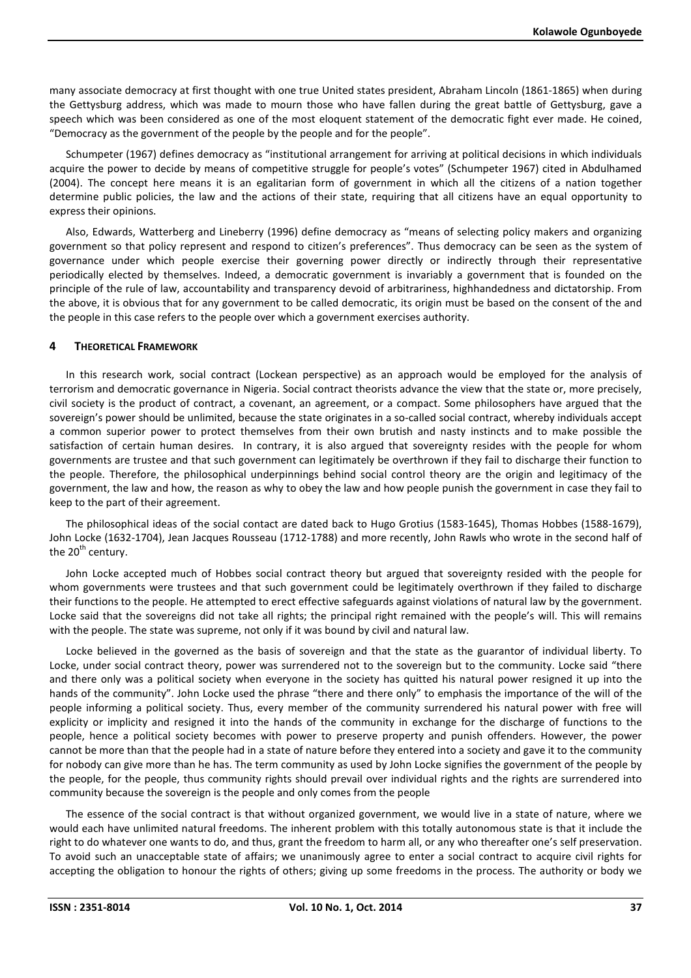many associate democracy at first thought with one true United states president, Abraham Lincoln (1861-1865) when during the Gettysburg address, which was made to mourn those who have fallen during the great battle of Gettysburg, gave a speech which was been considered as one of the most eloquent statement of the democratic fight ever made. He coined, "Democracy as the government of the people by the people and for the people".

Schumpeter (1967) defines democracy as "institutional arrangement for arriving at political decisions in which individuals acquire the power to decide by means of competitive struggle for people's votes" (Schumpeter 1967) cited in Abdulhamed (2004). The concept here means it is an egalitarian form of government in which all the citizens of a nation together determine public policies, the law and the actions of their state, requiring that all citizens have an equal opportunity to express their opinions.

Also, Edwards, Watterberg and Lineberry (1996) define democracy as "means of selecting policy makers and organizing government so that policy represent and respond to citizen's preferences". Thus democracy can be seen as the system of governance under which people exercise their governing power directly or indirectly through their representative periodically elected by themselves. Indeed, a democratic government is invariably a government that is founded on the principle of the rule of law, accountability and transparency devoid of arbitrariness, highhandedness and dictatorship. From the above, it is obvious that for any government to be called democratic, its origin must be based on the consent of the and the people in this case refers to the people over which a government exercises authority.

#### **4 THEORETICAL FRAMEWORK**

In this research work, social contract (Lockean perspective) as an approach would be employed for the analysis of terrorism and democratic governance in Nigeria. Social contract theorists advance the view that the state or, more precisely, civil society is the product of contract, a covenant, an agreement, or a compact. Some philosophers have argued that the sovereign's power should be unlimited, because the state originates in a so-called social contract, whereby individuals accept a common superior power to protect themselves from their own brutish and nasty instincts and to make possible the satisfaction of certain human desires. In contrary, it is also argued that sovereignty resides with the people for whom governments are trustee and that such government can legitimately be overthrown if they fail to discharge their function to the people. Therefore, the philosophical underpinnings behind social control theory are the origin and legitimacy of the government, the law and how, the reason as why to obey the law and how people punish the government in case they fail to keep to the part of their agreement.

The philosophical ideas of the social contact are dated back to Hugo Grotius (1583-1645), Thomas Hobbes (1588-1679), John Locke (1632-1704), Jean Jacques Rousseau (1712-1788) and more recently, John Rawls who wrote in the second half of the  $20<sup>th</sup>$  century.

John Locke accepted much of Hobbes social contract theory but argued that sovereignty resided with the people for whom governments were trustees and that such government could be legitimately overthrown if they failed to discharge their functions to the people. He attempted to erect effective safeguards against violations of natural law by the government. Locke said that the sovereigns did not take all rights; the principal right remained with the people's will. This will remains with the people. The state was supreme, not only if it was bound by civil and natural law.

Locke believed in the governed as the basis of sovereign and that the state as the guarantor of individual liberty. To Locke, under social contract theory, power was surrendered not to the sovereign but to the community. Locke said "there and there only was a political society when everyone in the society has quitted his natural power resigned it up into the hands of the community". John Locke used the phrase "there and there only" to emphasis the importance of the will of the people informing a political society. Thus, every member of the community surrendered his natural power with free will explicity or implicity and resigned it into the hands of the community in exchange for the discharge of functions to the people, hence a political society becomes with power to preserve property and punish offenders. However, the power cannot be more than that the people had in a state of nature before they entered into a society and gave it to the community for nobody can give more than he has. The term community as used by John Locke signifies the government of the people by the people, for the people, thus community rights should prevail over individual rights and the rights are surrendered into community because the sovereign is the people and only comes from the people

The essence of the social contract is that without organized government, we would live in a state of nature, where we would each have unlimited natural freedoms. The inherent problem with this totally autonomous state is that it include the right to do whatever one wants to do, and thus, grant the freedom to harm all, or any who thereafter one's self preservation. To avoid such an unacceptable state of affairs; we unanimously agree to enter a social contract to acquire civil rights for accepting the obligation to honour the rights of others; giving up some freedoms in the process. The authority or body we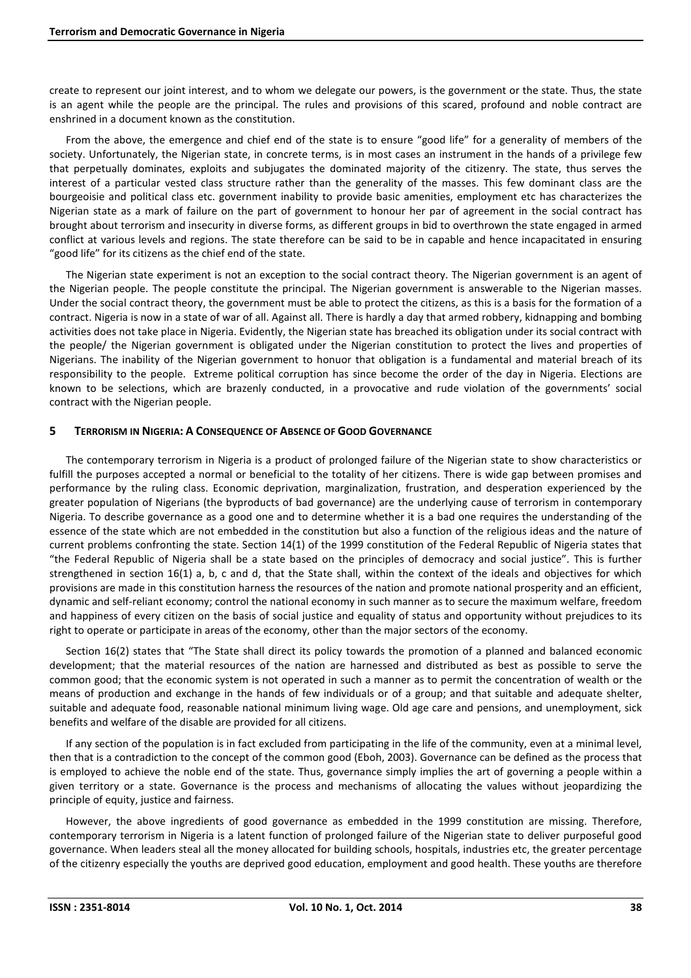create to represent our joint interest, and to whom we delegate our powers, is the government or the state. Thus, the state is an agent while the people are the principal. The rules and provisions of this scared, profound and noble contract are enshrined in a document known as the constitution.

From the above, the emergence and chief end of the state is to ensure "good life" for a generality of members of the society. Unfortunately, the Nigerian state, in concrete terms, is in most cases an instrument in the hands of a privilege few that perpetually dominates, exploits and subjugates the dominated majority of the citizenry. The state, thus serves the interest of a particular vested class structure rather than the generality of the masses. This few dominant class are the bourgeoisie and political class etc. government inability to provide basic amenities, employment etc has characterizes the Nigerian state as a mark of failure on the part of government to honour her par of agreement in the social contract has brought about terrorism and insecurity in diverse forms, as different groups in bid to overthrown the state engaged in armed conflict at various levels and regions. The state therefore can be said to be in capable and hence incapacitated in ensuring "good life" for its citizens as the chief end of the state.

The Nigerian state experiment is not an exception to the social contract theory. The Nigerian government is an agent of the Nigerian people. The people constitute the principal. The Nigerian government is answerable to the Nigerian masses. Under the social contract theory, the government must be able to protect the citizens, as this is a basis for the formation of a contract. Nigeria is now in a state of war of all. Against all. There is hardly a day that armed robbery, kidnapping and bombing activities does not take place in Nigeria. Evidently, the Nigerian state has breached its obligation under its social contract with the people/ the Nigerian government is obligated under the Nigerian constitution to protect the lives and properties of Nigerians. The inability of the Nigerian government to honuor that obligation is a fundamental and material breach of its responsibility to the people. Extreme political corruption has since become the order of the day in Nigeria. Elections are known to be selections, which are brazenly conducted, in a provocative and rude violation of the governments' social contract with the Nigerian people.

## **5 TERRORISM IN NIGERIA: A CONSEQUENCE OF ABSENCE OF GOOD GOVERNANCE**

The contemporary terrorism in Nigeria is a product of prolonged failure of the Nigerian state to show characteristics or fulfill the purposes accepted a normal or beneficial to the totality of her citizens. There is wide gap between promises and performance by the ruling class. Economic deprivation, marginalization, frustration, and desperation experienced by the greater population of Nigerians (the byproducts of bad governance) are the underlying cause of terrorism in contemporary Nigeria. To describe governance as a good one and to determine whether it is a bad one requires the understanding of the essence of the state which are not embedded in the constitution but also a function of the religious ideas and the nature of current problems confronting the state. Section 14(1) of the 1999 constitution of the Federal Republic of Nigeria states that "the Federal Republic of Nigeria shall be a state based on the principles of democracy and social justice". This is further strengthened in section 16(1) a, b, c and d, that the State shall, within the context of the ideals and objectives for which provisions are made in this constitution harness the resources of the nation and promote national prosperity and an efficient, dynamic and self-reliant economy; control the national economy in such manner as to secure the maximum welfare, freedom and happiness of every citizen on the basis of social justice and equality of status and opportunity without prejudices to its right to operate or participate in areas of the economy, other than the major sectors of the economy.

Section 16(2) states that "The State shall direct its policy towards the promotion of a planned and balanced economic development; that the material resources of the nation are harnessed and distributed as best as possible to serve the common good; that the economic system is not operated in such a manner as to permit the concentration of wealth or the means of production and exchange in the hands of few individuals or of a group; and that suitable and adequate shelter, suitable and adequate food, reasonable national minimum living wage. Old age care and pensions, and unemployment, sick benefits and welfare of the disable are provided for all citizens.

If any section of the population is in fact excluded from participating in the life of the community, even at a minimal level, then that is a contradiction to the concept of the common good (Eboh, 2003). Governance can be defined as the process that is employed to achieve the noble end of the state. Thus, governance simply implies the art of governing a people within a given territory or a state. Governance is the process and mechanisms of allocating the values without jeopardizing the principle of equity, justice and fairness.

However, the above ingredients of good governance as embedded in the 1999 constitution are missing. Therefore, contemporary terrorism in Nigeria is a latent function of prolonged failure of the Nigerian state to deliver purposeful good governance. When leaders steal all the money allocated for building schools, hospitals, industries etc, the greater percentage of the citizenry especially the youths are deprived good education, employment and good health. These youths are therefore